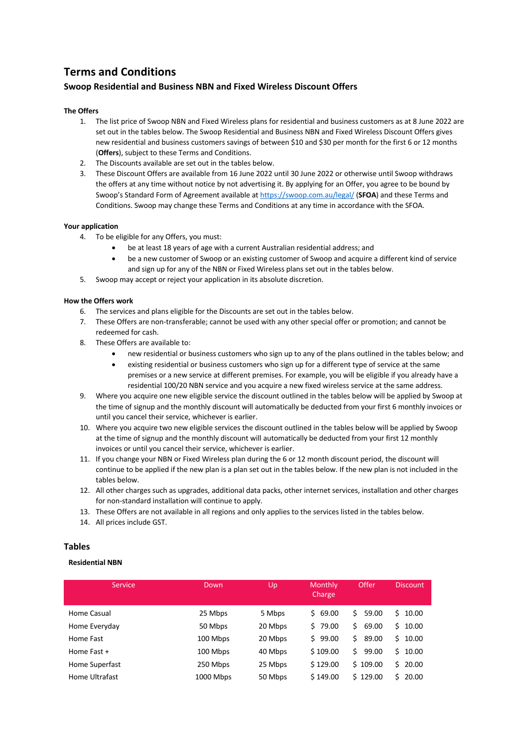# **Terms and Conditions**

# **Swoop Residential and Business NBN and Fixed Wireless Discount Offers**

### **The Offers**

- 1. The list price of Swoop NBN and Fixed Wireless plans for residential and business customers as at 8 June 2022 are set out in the tables below. The Swoop Residential and Business NBN and Fixed Wireless Discount Offers gives new residential and business customers savings of between \$10 and \$30 per month for the first 6 or 12 months (**Offers**), subject to these Terms and Conditions.
- 2. The Discounts available are set out in the tables below.
- 3. These Discount Offers are available from 16 June 2022 until 30 June 2022 or otherwise until Swoop withdraws the offers at any time without notice by not advertising it. By applying for an Offer, you agree to be bound by Swoop's Standard Form of Agreement available at https://swoop.com.au/legal/ (**SFOA**) and these Terms and Conditions. Swoop may change these Terms and Conditions at any time in accordance with the SFOA.

#### **Your application**

- 4. To be eligible for any Offers, you must:
	- be at least 18 years of age with a current Australian residential address; and
	- be a new customer of Swoop or an existing customer of Swoop and acquire a different kind of service and sign up for any of the NBN or Fixed Wireless plans set out in the tables below.
- 5. Swoop may accept or reject your application in its absolute discretion.

#### **How the Offers work**

- 6. The services and plans eligible for the Discounts are set out in the tables below.
- 7. These Offers are non-transferable; cannot be used with any other special offer or promotion; and cannot be redeemed for cash.
- 8. These Offers are available to:
	- new residential or business customers who sign up to any of the plans outlined in the tables below; and
	- existing residential or business customers who sign up for a different type of service at the same premises or a new service at different premises. For example, you will be eligible if you already have a residential 100/20 NBN service and you acquire a new fixed wireless service at the same address.
- 9. Where you acquire one new eligible service the discount outlined in the tables below will be applied by Swoop at the time of signup and the monthly discount will automatically be deducted from your first 6 monthly invoices or until you cancel their service, whichever is earlier.
- 10. Where you acquire two new eligible services the discount outlined in the tables below will be applied by Swoop at the time of signup and the monthly discount will automatically be deducted from your first 12 monthly invoices or until you cancel their service, whichever is earlier.
- 11. If you change your NBN or Fixed Wireless plan during the 6 or 12 month discount period, the discount will continue to be applied if the new plan is a plan set out in the tables below. If the new plan is not included in the tables below.
- 12. All other charges such as upgrades, additional data packs, other internet services, installation and other charges for non-standard installation will continue to apply.
- 13. These Offers are not available in all regions and only applies to the services listed in the tables below.
- 14. All prices include GST.

## **Tables**

#### **Residential NBN**

| Service        | Down      | Up      | Monthly<br>Charge | Offer       | <b>Discount</b> |
|----------------|-----------|---------|-------------------|-------------|-----------------|
| Home Casual    | 25 Mbps   | 5 Mbps  | \$69.00           | 59.00<br>Ś. | $5\,10.00$      |
| Home Everyday  | 50 Mbps   | 20 Mbps | 579.00            | 69.00<br>Ś  | 10.00<br>Ŝ.     |
| Home Fast      | 100 Mbps  | 20 Mbps | \$99.00           | Ś.<br>89.00 | \$10.00         |
| Home Fast +    | 100 Mbps  | 40 Mbps | \$109.00          | Ś<br>99.00  | Ŝ.<br>10.00     |
| Home Superfast | 250 Mbps  | 25 Mbps | \$129.00          | \$109.00    | 20.00<br>S.     |
| Home Ultrafast | 1000 Mbps | 50 Mbps | \$149.00          | \$129.00    | Ŝ.<br>20.00     |